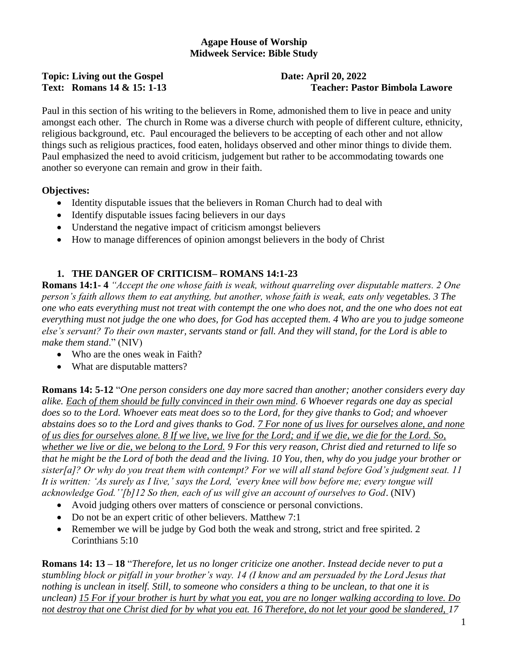### **Agape House of Worship Midweek Service: Bible Study**

# **Topic: Living out the Gospel**  Date: April 20, 2022

# **Text: Romans 14 & 15: 1-13 Teacher: Pastor Bimbola Lawore**

Paul in this section of his writing to the believers in Rome, admonished them to live in peace and unity amongst each other. The church in Rome was a diverse church with people of different culture, ethnicity, religious background, etc. Paul encouraged the believers to be accepting of each other and not allow things such as religious practices, food eaten, holidays observed and other minor things to divide them. Paul emphasized the need to avoid criticism, judgement but rather to be accommodating towards one another so everyone can remain and grow in their faith.

## **Objectives:**

- Identity disputable issues that the believers in Roman Church had to deal with
- Identify disputable issues facing believers in our days
- Understand the negative impact of criticism amongst believers
- How to manage differences of opinion amongst believers in the body of Christ

## **1. THE DANGER OF CRITICISM– ROMANS 14:1-23**

**Romans 14:1- 4** *"Accept the one whose faith is weak, without quarreling over disputable matters. 2 One person's faith allows them to eat anything, but another, whose faith is weak, eats only vegetables. 3 The one who eats everything must not treat with contempt the one who does not, and the one who does not eat everything must not judge the one who does, for God has accepted them. 4 Who are you to judge someone else's servant? To their own master, servants stand or fall. And they will stand, for the Lord is able to make them stand*." (NIV)

- Who are the ones weak in Faith?
- What are disputable matters?

**Romans 14: 5-12** "*One person considers one day more sacred than another; another considers every day alike. Each of them should be fully convinced in their own mind. 6 Whoever regards one day as special does so to the Lord. Whoever eats meat does so to the Lord, for they give thanks to God; and whoever abstains does so to the Lord and gives thanks to God. 7 For none of us lives for ourselves alone, and none of us dies for ourselves alone. 8 If we live, we live for the Lord; and if we die, we die for the Lord. So, whether we live or die, we belong to the Lord. 9 For this very reason, Christ died and returned to life so that he might be the Lord of both the dead and the living. 10 You, then, why do you judge your brother or sister[a]? Or why do you treat them with contempt? For we will all stand before God's judgment seat. 11 It is written: 'As surely as I live,' says the Lord, 'every knee will bow before me; every tongue will acknowledge God.''[b]12 So then, each of us will give an account of ourselves to God*. (NIV)

- Avoid judging others over matters of conscience or personal convictions.
- Do not be an expert critic of other believers. Matthew 7:1
- Remember we will be judge by God both the weak and strong, strict and free spirited. 2 Corinthians 5:10

**Romans 14: 13 – 18** "*Therefore, let us no longer criticize one another. Instead decide never to put a stumbling block or pitfall in your brother's way. 14 (I know and am persuaded by the Lord Jesus that nothing is unclean in itself. Still, to someone who considers a thing to be unclean, to that one it is unclean) 15 For if your brother is hurt by what you eat, you are no longer walking according to love. Do not destroy that one Christ died for by what you eat. 16 Therefore, do not let your good be slandered, 17*